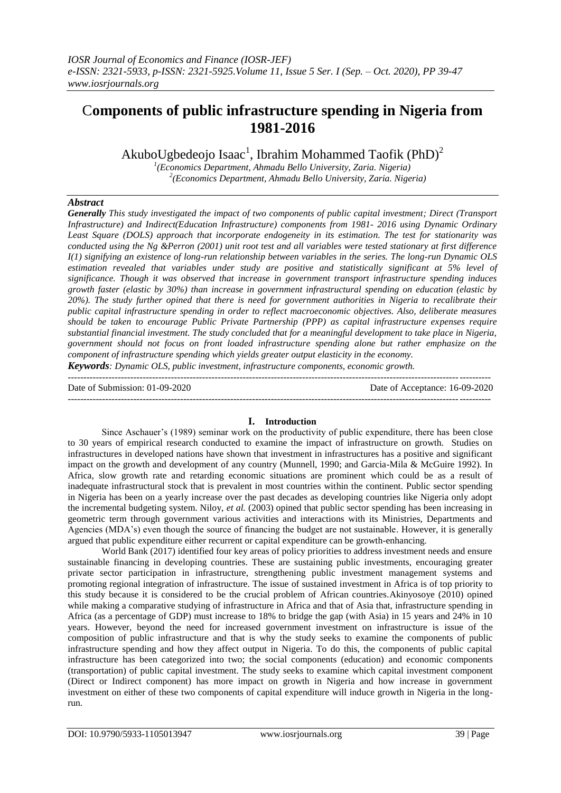# C**omponents of public infrastructure spending in Nigeria from 1981-2016**

AkuboUgbedeojo Isaac<sup>1</sup>, Ibrahim Mohammed Taofik (PhD)<sup>2</sup>

*1 (Economics Department, Ahmadu Bello University, Zaria. Nigeria) 2 (Economics Department, Ahmadu Bello University, Zaria. Nigeria)* 

# *Abstract*

*Generally This study investigated the impact of two components of public capital investment; Direct (Transport Infrastructure) and Indirect(Education Infrastructure) components from 1981- 2016 using Dynamic Ordinary Least Square (DOLS) approach that incorporate endogeneity in its estimation. The test for stationarity was conducted using the Ng &Perron (2001) unit root test and all variables were tested stationary at first difference I(1) signifying an existence of long-run relationship between variables in the series. The long-run Dynamic OLS estimation revealed that variables under study are positive and statistically significant at 5% level of significance. Though it was observed that increase in government transport infrastructure spending induces growth faster (elastic by 30%) than increase in government infrastructural spending on education (elastic by 20%). The study further opined that there is need for government authorities in Nigeria to recalibrate their public capital infrastructure spending in order to reflect macroeconomic objectives. Also, deliberate measures should be taken to encourage Public Private Partnership (PPP) as capital infrastructure expenses require substantial financial investment. The study concluded that for a meaningful development to take place in Nigeria, government should not focus on front loaded infrastructure spending alone but rather emphasize on the component of infrastructure spending which yields greater output elasticity in the economy.* 

*Keywords: Dynamic OLS, public investment, infrastructure components, economic growth.* ---------------------------------------------------------------------------------------------------------------------------------------

Date of Submission: 01-09-2020 Date of Acceptance: 16-09-2020

---------------------------------------------------------------------------------------------------------------------------------------

#### **I. Introduction**

Since Aschauer's (1989) seminar work on the productivity of public expenditure, there has been close to 30 years of empirical research conducted to examine the impact of infrastructure on growth. Studies on infrastructures in developed nations have shown that investment in infrastructures has a positive and significant impact on the growth and development of any country (Munnell, 1990; and Garcia-Mila & McGuire 1992). In Africa, slow growth rate and retarding economic situations are prominent which could be as a result of inadequate infrastructural stock that is prevalent in most countries within the continent. Public sector spending in Nigeria has been on a yearly increase over the past decades as developing countries like Nigeria only adopt the incremental budgeting system. Niloy, *et al.* (2003) opined that public sector spending has been increasing in geometric term through government various activities and interactions with its Ministries, Departments and Agencies (MDA's) even though the source of financing the budget are not sustainable. However, it is generally argued that public expenditure either recurrent or capital expenditure can be growth-enhancing.

World Bank (2017) identified four key areas of policy priorities to address investment needs and ensure sustainable financing in developing countries. These are sustaining public investments, encouraging greater private sector participation in infrastructure, strengthening public investment management systems and promoting regional integration of infrastructure. The issue of sustained investment in Africa is of top priority to this study because it is considered to be the crucial problem of African countries.Akinyosoye (2010) opined while making a comparative studying of infrastructure in Africa and that of Asia that, infrastructure spending in Africa (as a percentage of GDP) must increase to 18% to bridge the gap (with Asia) in 15 years and 24% in 10 years. However, beyond the need for increased government investment on infrastructure is issue of the composition of public infrastructure and that is why the study seeks to examine the components of public infrastructure spending and how they affect output in Nigeria. To do this, the components of public capital infrastructure has been categorized into two; the social components (education) and economic components (transportation) of public capital investment. The study seeks to examine which capital investment component (Direct or Indirect component) has more impact on growth in Nigeria and how increase in government investment on either of these two components of capital expenditure will induce growth in Nigeria in the longrun.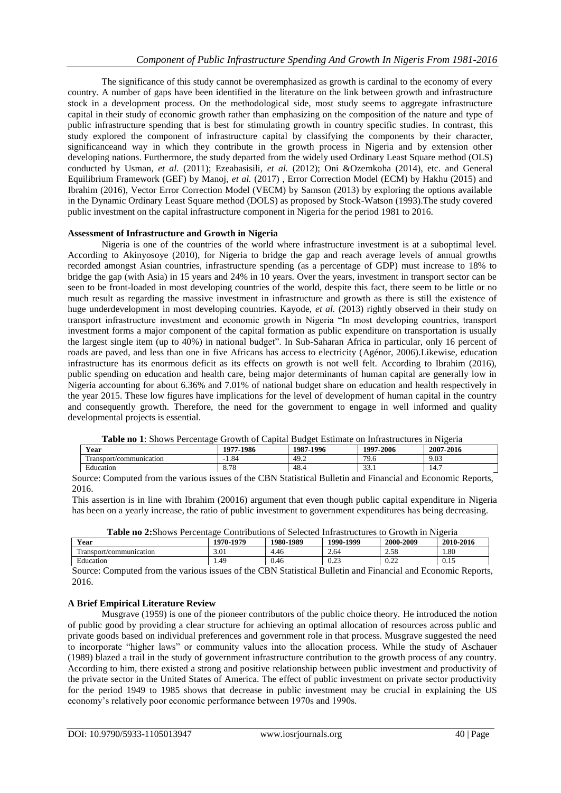The significance of this study cannot be overemphasized as growth is cardinal to the economy of every country. A number of gaps have been identified in the literature on the link between growth and infrastructure stock in a development process. On the methodological side, most study seems to aggregate infrastructure capital in their study of economic growth rather than emphasizing on the composition of the nature and type of public infrastructure spending that is best for stimulating growth in country specific studies. In contrast, this study explored the component of infrastructure capital by classifying the components by their character, significanceand way in which they contribute in the growth process in Nigeria and by extension other developing nations. Furthermore, the study departed from the widely used Ordinary Least Square method (OLS) conducted by Usman, *et al.* (2011); Ezeabasisili, *et al.* (2012); Oni &Ozemkoha (2014), etc. and General Equilibrium Framework (GEF) by Manoj, *et al.* (2017) , Error Correction Model (ECM) by Hakhu (2015) and Ibrahim (2016), Vector Error Correction Model (VECM) by Samson (2013) by exploring the options available in the Dynamic Ordinary Least Square method (DOLS) as proposed by Stock-Watson (1993).The study covered public investment on the capital infrastructure component in Nigeria for the period 1981 to 2016.

#### **Assessment of Infrastructure and Growth in Nigeria**

Nigeria is one of the countries of the world where infrastructure investment is at a suboptimal level. According to Akinyosoye (2010), for Nigeria to bridge the gap and reach average levels of annual growths recorded amongst Asian countries, infrastructure spending (as a percentage of GDP) must increase to 18% to bridge the gap (with Asia) in 15 years and 24% in 10 years. Over the years, investment in transport sector can be seen to be front-loaded in most developing countries of the world, despite this fact, there seem to be little or no much result as regarding the massive investment in infrastructure and growth as there is still the existence of huge underdevelopment in most developing countries. Kayode, *et al.* (2013) rightly observed in their study on transport infrastructure investment and economic growth in Nigeria "In most developing countries, transport investment forms a major component of the capital formation as public expenditure on transportation is usually the largest single item (up to 40%) in national budget". In Sub-Saharan Africa in particular, only 16 percent of roads are paved, and less than one in five Africans has access to electricity (Agénor, 2006).Likewise, education infrastructure has its enormous deficit as its effects on growth is not well felt. According to Ibrahim (2016), public spending on education and health care, being major determinants of human capital are generally low in Nigeria accounting for about 6.36% and 7.01% of national budget share on education and health respectively in the year 2015. These low figures have implications for the level of development of human capital in the country and consequently growth. Therefore, the need for the government to engage in well informed and quality developmental projects is essential.

**Table no 1**: Shows Percentage Growth of Capital Budget Estimate on Infrastructures in Nigeria

**Year 1977-1986 1987-1996 1997-2006 2007-2016**

| Transport/communication                                                                                      | $-1.84$ | 49.2 | 79.6 | 9.03 |  |  |  |
|--------------------------------------------------------------------------------------------------------------|---------|------|------|------|--|--|--|
| Education                                                                                                    | 8.78    | 48.4 | 33.1 | 14.7 |  |  |  |
| Source: Computed from the various issues of the CBN Statistical Bulletin and Financial and Economic Reports, |         |      |      |      |  |  |  |
| 2016.                                                                                                        |         |      |      |      |  |  |  |

This assertion is in line with Ibrahim (20016) argument that even though public capital expenditure in Nigeria has been on a yearly increase, the ratio of public investment to government expenditures has being decreasing.

| <b>Table no 2.3</b> hows referentage Contributions of Selected Himasuluctures to Chowth in Nigeria |           |           |           |           |           |  |  |
|----------------------------------------------------------------------------------------------------|-----------|-----------|-----------|-----------|-----------|--|--|
| Year                                                                                               | 1970-1979 | 1980-1989 | 1990-1999 | 2000-2009 | 2010-2016 |  |  |
| Transport/communication                                                                            | 3.01      | 4.46      | 2.64      | 2.58      | .80       |  |  |
| Education                                                                                          | .49       | 0.46      | 0.23      | 0.22      | 0.15      |  |  |

**Table no 2:**Shows Percentage Contributions of Selected Infrastructures to Growth in Nigeria

Source: Computed from the various issues of the CBN Statistical Bulletin and Financial and Economic Reports, 2016.

## **A Brief Empirical Literature Review**

Musgrave (1959) is one of the pioneer contributors of the public choice theory. He introduced the notion of public good by providing a clear structure for achieving an optimal allocation of resources across public and private goods based on individual preferences and government role in that process. Musgrave suggested the need to incorporate "higher laws" or community values into the allocation process. While the study of Aschauer (1989) blazed a trail in the study of government infrastructure contribution to the growth process of any country. According to him, there existed a strong and positive relationship between public investment and productivity of the private sector in the United States of America. The effect of public investment on private sector productivity for the period 1949 to 1985 shows that decrease in public investment may be crucial in explaining the US economy's relatively poor economic performance between 1970s and 1990s.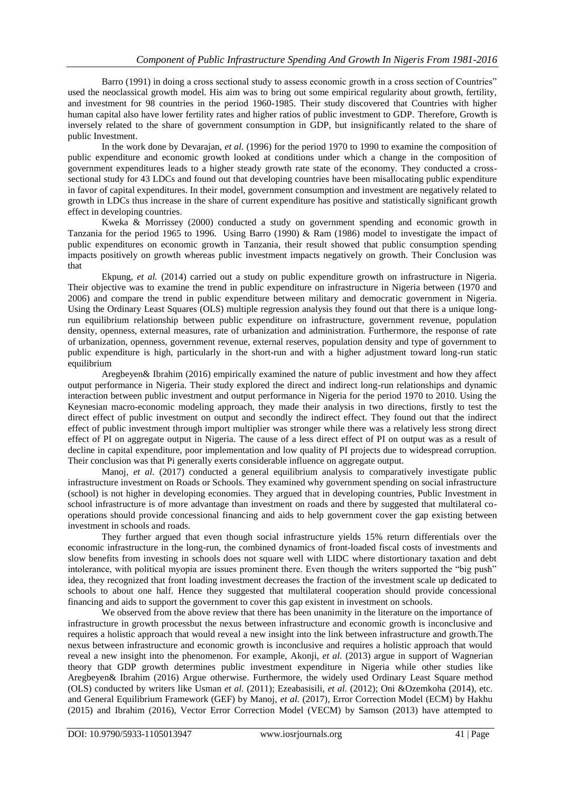Barro (1991) in doing a cross sectional study to assess economic growth in a cross section of Countries" used the neoclassical growth model. His aim was to bring out some empirical regularity about growth, fertility, and investment for 98 countries in the period 1960-1985. Their study discovered that Countries with higher human capital also have lower fertility rates and higher ratios of public investment to GDP. Therefore, Growth is inversely related to the share of government consumption in GDP, but insignificantly related to the share of public Investment.

In the work done by Devarajan, *et al.* (1996) for the period 1970 to 1990 to examine the composition of public expenditure and economic growth looked at conditions under which a change in the composition of government expenditures leads to a higher steady growth rate state of the economy. They conducted a crosssectional study for 43 LDCs and found out that developing countries have been misallocating public expenditure in favor of capital expenditures. In their model, government consumption and investment are negatively related to growth in LDCs thus increase in the share of current expenditure has positive and statistically significant growth effect in developing countries.

Kweka & Morrissey (2000) conducted a study on government spending and economic growth in Tanzania for the period 1965 to 1996. Using Barro (1990) & Ram (1986) model to investigate the impact of public expenditures on economic growth in Tanzania, their result showed that public consumption spending impacts positively on growth whereas public investment impacts negatively on growth. Their Conclusion was that

Ekpung, *et al.* (2014) carried out a study on public expenditure growth on infrastructure in Nigeria. Their objective was to examine the trend in public expenditure on infrastructure in Nigeria between (1970 and 2006) and compare the trend in public expenditure between military and democratic government in Nigeria. Using the Ordinary Least Squares (OLS) multiple regression analysis they found out that there is a unique longrun equilibrium relationship between public expenditure on infrastructure, government revenue, population density, openness, external measures, rate of urbanization and administration. Furthermore, the response of rate of urbanization, openness, government revenue, external reserves, population density and type of government to public expenditure is high, particularly in the short-run and with a higher adjustment toward long-run static equilibrium

Aregbeyen& Ibrahim (2016) empirically examined the nature of public investment and how they affect output performance in Nigeria. Their study explored the direct and indirect long-run relationships and dynamic interaction between public investment and output performance in Nigeria for the period 1970 to 2010. Using the Keynesian macro-economic modeling approach, they made their analysis in two directions, firstly to test the direct effect of public investment on output and secondly the indirect effect. They found out that the indirect effect of public investment through import multiplier was stronger while there was a relatively less strong direct effect of PI on aggregate output in Nigeria. The cause of a less direct effect of PI on output was as a result of decline in capital expenditure, poor implementation and low quality of PI projects due to widespread corruption. Their conclusion was that Pi generally exerts considerable influence on aggregate output.

Manoj, et al. (2017) conducted a general equilibrium analysis to comparatively investigate public infrastructure investment on Roads or Schools. They examined why government spending on social infrastructure (school) is not higher in developing economies. They argued that in developing countries, Public Investment in school infrastructure is of more advantage than investment on roads and there by suggested that multilateral cooperations should provide concessional financing and aids to help government cover the gap existing between investment in schools and roads.

They further argued that even though social infrastructure yields 15% return differentials over the economic infrastructure in the long-run, the combined dynamics of front-loaded fiscal costs of investments and slow benefits from investing in schools does not square well with LIDC where distortionary taxation and debt intolerance, with political myopia are issues prominent there. Even though the writers supported the "big push" idea, they recognized that front loading investment decreases the fraction of the investment scale up dedicated to schools to about one half. Hence they suggested that multilateral cooperation should provide concessional financing and aids to support the government to cover this gap existent in investment on schools.

We observed from the above review that there has been unanimity in the literature on the importance of infrastructure in growth processbut the nexus between infrastructure and economic growth is inconclusive and requires a holistic approach that would reveal a new insight into the link between infrastructure and growth.The nexus between infrastructure and economic growth is inconclusive and requires a holistic approach that would reveal a new insight into the phenomenon. For example, Akonji, *et al.* (2013) argue in support of Wagnerian theory that GDP growth determines public investment expenditure in Nigeria while other studies like Aregbeyen& Ibrahim (2016) Argue otherwise. Furthermore, the widely used Ordinary Least Square method (OLS) conducted by writers like Usman *et al.* (2011); Ezeabasisili, *et al.* (2012); Oni &Ozemkoha (2014), etc. and General Equilibrium Framework (GEF) by Manoj, *et al.* (2017), Error Correction Model (ECM) by Hakhu (2015) and Ibrahim (2016), Vector Error Correction Model (VECM) by Samson (2013) have attempted to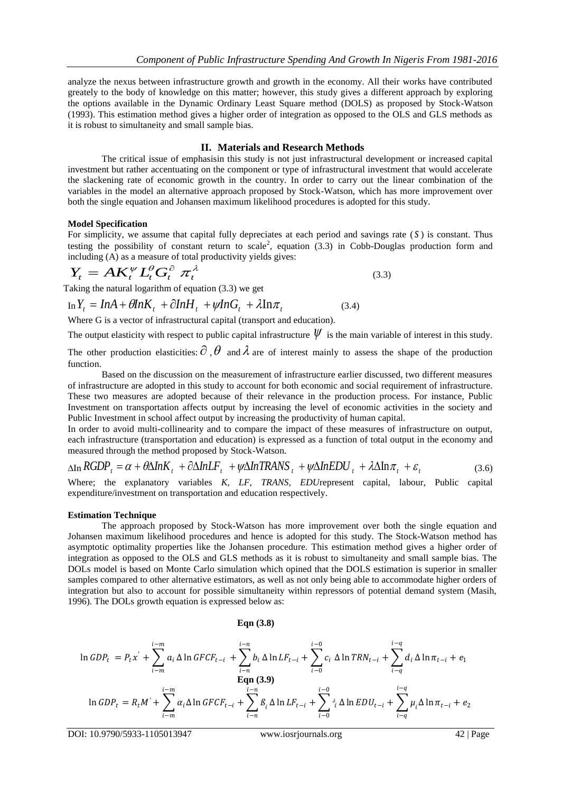analyze the nexus between infrastructure growth and growth in the economy. All their works have contributed greately to the body of knowledge on this matter; however, this study gives a different approach by exploring the options available in the Dynamic Ordinary Least Square method (DOLS) as proposed by Stock-Watson (1993). This estimation method gives a higher order of integration as opposed to the OLS and GLS methods as it is robust to simultaneity and small sample bias.

#### **II. Materials and Research Methods**

The critical issue of emphasisin this study is not just infrastructural development or increased capital investment but rather accentuating on the component or type of infrastructural investment that would accelerate the slackening rate of economic growth in the country. In order to carry out the linear combination of the variables in the model an alternative approach proposed by Stock-Watson, which has more improvement over both the single equation and Johansen maximum likelihood procedures is adopted for this study.

#### **Model Specification**

For simplicity, we assume that capital fully depreciates at each period and savings rate (S) is constant. Thus testing the possibility of constant return to scale<sup>2</sup>, equation (3.3) in Cobb-Douglas production form and including (A) as a measure of total productivity yields gives:

$$
Y_t = AK_t^{\psi} L_t^{\theta} G_t^{\partial} \pi_t^{\lambda}
$$
\n(3.3)

Taking the natural logarithm of equation (3.3) we get

 $\int_{\text{In}} Y_t = \ln A + \theta \ln K_t + \partial \ln H_t + \psi \ln G_t + \lambda \ln \pi_t$  (3.4) (3.4)

Where G is a vector of infrastructural capital (transport and education).

The output elasticity with respect to public capital infrastructure  $\psi$  is the main variable of interest in this study.

The other production elasticities:  $\partial$ ,  $\theta$  and  $\lambda$  are of interest mainly to assess the shape of the production function.

Based on the discussion on the measurement of infrastructure earlier discussed, two different measures of infrastructure are adopted in this study to account for both economic and social requirement of infrastructure. These two measures are adopted because of their relevance in the production process. For instance, Public Investment on transportation affects output by increasing the level of economic activities in the society and Public Investment in school affect output by increasing the productivity of human capital.

In order to avoid multi-collinearity and to compare the impact of these measures of infrastructure on output, each infrastructure (transportation and education) is expressed as a function of total output in the economy and measured through the method proposed by Stock-Watson.

$$
\Delta \text{In} \, RGDP_t = \alpha + \theta \Delta \ln K_t + \partial \Delta \ln LF_t + \psi \Delta \ln \text{TRANS}_t + \psi \Delta \ln EDU_t + \lambda \Delta \ln \pi_t + \varepsilon_t \tag{3.6}
$$

Where; the explanatory variables *K, LF, TRANS, EDU*represent capital, labour, Public capital expenditure/investment on transportation and education respectively.

#### **Estimation Technique**

The approach proposed by Stock-Watson has more improvement over both the single equation and Johansen maximum likelihood procedures and hence is adopted for this study. The Stock-Watson method has asymptotic optimality properties like the Johansen procedure. This estimation method gives a higher order of integration as opposed to the OLS and GLS methods as it is robust to simultaneity and small sample bias. The DOLs model is based on Monte Carlo simulation which opined that the DOLS estimation is superior in smaller samples compared to other alternative estimators, as well as not only being able to accommodate higher orders of integration but also to account for possible simultaneity within repressors of potential demand system (Masih, 1996). The DOLs growth equation is expressed below as:

#### **Eqn (3.8)**

$$
\ln GDP_{t} = P_{t}x^{'} + \sum_{i=m}^{i-m} a_{i} \Delta \ln GFCF_{t-i} + \sum_{i=n}^{i-n} b_{i} \Delta \ln LF_{t-i} + \sum_{i=0}^{i-0} c_{i} \Delta \ln TRN_{t-i} + \sum_{i=q}^{i-q} d_{i} \Delta \ln \pi_{t-i} + e_{1}
$$
  
\n
$$
\ln GDP_{t} = R_{t}M^{'} + \sum_{i=m}^{i-m} \alpha_{i} \Delta \ln GFCF_{t-i} + \sum_{i=n}^{i-n} \beta_{i} \Delta \ln LF_{t-i} + \sum_{i=0}^{i-0} \delta_{i} \Delta \ln EDU_{t-i} + \sum_{i=q}^{i-q} \mu_{i} \Delta \ln \pi_{t-i} + e_{2}
$$

DOI: 10.9790/5933-1105013947 www.iosrjournals.org 42 | Page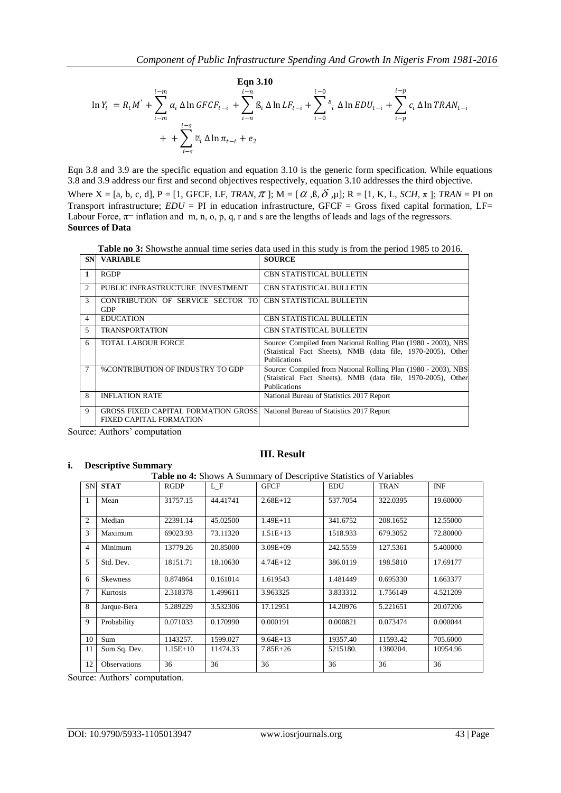$$
\mathbf{Eqn 3.10}
$$
\n
$$
\ln Y_{t} = R_{t}M' + \sum_{i=m}^{i-m} \alpha_{i} \Delta \ln GFCF_{t-i} + \sum_{i=n}^{i-n} \beta_{i} \Delta \ln LF_{t-i} + \sum_{i=0}^{i-0} \delta_{i} \Delta \ln EDU_{t-i} + \sum_{i=p}^{i-p} c_{i} \Delta \ln TRAN_{t-i}
$$
\n
$$
+ + \sum_{i=s}^{i-s} \mu_{i} \Delta \ln \pi_{t-i} + e_{2}
$$

Eqn 3.8 and 3.9 are the specific equation and equation 3.10 is the generic form specification. While equations 3.8 and 3.9 address our first and second objectives respectively, equation 3.10 addresses the third objective. Where  $X = [a, b, c, d]$ ,  $P = [1, GFCF, LF, TRAN, \pi]$ ;  $M = [\alpha, \beta, \delta, \mu]$ ;  $R = [1, K, L, SCH, \pi]$ ;  $TRAN = PI$  on Transport infrastructure;  $EDU = PI$  in education infrastructure, GFCF = Gross fixed capital formation, LF= Labour Force,  $\pi$ = inflation and m, n, o, p, q, r and s are the lengths of leads and lags of the regressors. **Sources of Data**

**Table no 3:** Showsthe annual time series data used in this study is from the period 1985 to 2016.

|                | <b>SN VARIABLE</b>                                                           | <b>SOURCE</b>                                                                                                                                        |
|----------------|------------------------------------------------------------------------------|------------------------------------------------------------------------------------------------------------------------------------------------------|
|                | <b>RGDP</b>                                                                  | <b>CBN STATISTICAL BULLETIN</b>                                                                                                                      |
| $\mathfrak{D}$ | PUBLIC INFRASTRUCTURE INVESTMENT                                             | <b>CBN STATISTICAL BULLETIN</b>                                                                                                                      |
| $\mathcal{R}$  | CONTRIBUTION OF SERVICE SECTOR TO<br><b>GDP</b>                              | CBN STATISTICAL BULLETIN                                                                                                                             |
| $\overline{4}$ | <b>EDUCATION</b>                                                             | <b>CBN STATISTICAL BULLETIN</b>                                                                                                                      |
| $\overline{5}$ | <b>TRANSPORTATION</b>                                                        | <b>CBN STATISTICAL BULLETIN</b>                                                                                                                      |
| 6              | <b>TOTAL LABOUR FORCE</b>                                                    | Source: Compiled from National Rolling Plan (1980 - 2003), NBS<br>(Staistical Fact Sheets), NMB (data file, 1970-2005), Other<br><b>Publications</b> |
|                | <b>%CONTRIBUTION OF INDUSTRY TO GDP</b>                                      | Source: Compiled from National Rolling Plan (1980 - 2003), NBS<br>(Staistical Fact Sheets), NMB (data file, 1970-2005), Other<br><b>Publications</b> |
| 8              | <b>INFLATION RATE</b>                                                        | National Bureau of Statistics 2017 Report                                                                                                            |
| $\mathbf{Q}$   | <b>GROSS FIXED CAPITAL FORMATION GROSS</b><br><b>FIXED CAPITAL FORMATION</b> | National Bureau of Statistics 2017 Report                                                                                                            |

Source: Authors' computation

#### **i. Descriptive Summary**

#### **III. Result**

#### **Table no 4:** Shows A Summary of Descriptive Statistics of Variables

| <b>SN</b>      | <b>STAT</b>         | <b>RGDP</b> | L F      | <b>GFCF</b>  | <b>EDU</b> | <b>TRAN</b> | <b>INF</b> |
|----------------|---------------------|-------------|----------|--------------|------------|-------------|------------|
| -1             | Mean                | 31757.15    | 44.41741 | $2.68E+12$   | 537.7054   | 322.0395    | 19.60000   |
| $\overline{2}$ | Median              | 22391.14    | 45.02500 | $1.49E + 11$ | 341.6752   | 208.1652    | 12.55000   |
| 3              | Maximum             | 69023.93    | 73.11320 | $1.51E+13$   | 1518.933   | 679.3052    | 72.80000   |
| $\overline{4}$ | Minimum             | 13779.26    | 20.85000 | $3.09E + 09$ | 242.5559   | 127.5361    | 5.400000   |
| 5              | Std. Dev.           | 18151.71    | 18.10630 | $4.74E+12$   | 386.0119   | 198.5810    | 17.69177   |
| 6              | <b>Skewness</b>     | 0.874864    | 0.161014 | 1.619543     | 1.481449   | 0.695330    | 1.663377   |
| $\overline{7}$ | Kurtosis            | 2.318378    | 1.499611 | 3.963325     | 3.833312   | 1.756149    | 4.521209   |
| 8              | Jarque-Bera         | 5.289229    | 3.532306 | 17.12951     | 14.20976   | 5.221651    | 20.07206   |
| 9              | Probability         | 0.071033    | 0.170990 | 0.000191     | 0.000821   | 0.073474    | 0.000044   |
| 10             | Sum                 | 1143257.    | 1599.027 | $9.64E+13$   | 19357.40   | 11593.42    | 705.6000   |
| 11             | Sum Sq. Dev.        | $1.15E+10$  | 11474.33 | $7.85E + 26$ | 5215180.   | 1380204.    | 10954.96   |
| 12             | <b>Observations</b> | 36          | 36       | 36           | 36         | 36          | 36         |

Source: Authors' computation.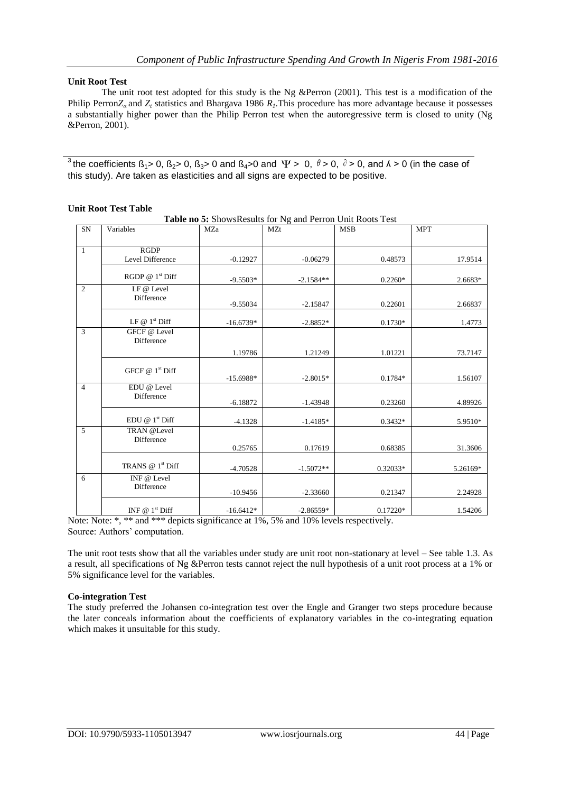#### **Unit Root Test**

The unit root test adopted for this study is the Ng &Perron (2001). This test is a modification of the Philip Perron*Zα* and *Z<sup>t</sup>* statistics and Bhargava 1986 *R1*.This procedure has more advantage because it possesses a substantially higher power than the Philip Perron test when the autoregressive term is closed to unity (Ng &Perron, 2001).

<sup>3</sup> the coefficients  $\beta_1$ > 0,  $\beta_2$ > 0,  $\beta_3$ > 0 and  $\beta_4$ >0 and  $\Psi$  > 0,  $\theta$  > 0,  $\theta$  > 0, and  $\lambda$  > 0 (in the case of this study). Are taken as elasticities and all signs are expected to be positive.

|                | Table no 5: ShowsResults for Ng and Perron Unit Roots Test |             |             |            |            |  |  |  |  |
|----------------|------------------------------------------------------------|-------------|-------------|------------|------------|--|--|--|--|
| SN             | Variables                                                  | MZa         | MZt         | <b>MSB</b> | <b>MPT</b> |  |  |  |  |
| $\overline{1}$ | RGDP<br>Level Difference                                   | $-0.12927$  | $-0.06279$  | 0.48573    | 17.9514    |  |  |  |  |
|                | RGDP $@1st$ Diff                                           | $-9.5503*$  | $-2.1584**$ | $0.2260*$  | 2.6683*    |  |  |  |  |
| 2              | LF @ Level<br>Difference                                   | $-9.55034$  | $-2.15847$  | 0.22601    | 2.66837    |  |  |  |  |
|                | LF $@1^{\text{st}}$ Diff                                   | $-16.6739*$ | $-2.8852*$  | $0.1730*$  | 1.4773     |  |  |  |  |
| $\overline{3}$ | GFCF @ Level<br>Difference                                 | 1.19786     | 1.21249     | 1.01221    | 73.7147    |  |  |  |  |
|                | GFCF $@1st$ Diff                                           | $-15.6988*$ | $-2.8015*$  | 0.1784*    | 1.56107    |  |  |  |  |
| $\overline{4}$ | EDU @ Level<br>Difference                                  | $-6.18872$  | $-1.43948$  | 0.23260    | 4.89926    |  |  |  |  |
|                | EDU @ 1 <sup>st</sup> Diff                                 | $-4.1328$   | $-1.4185*$  | $0.3432*$  | 5.9510*    |  |  |  |  |
| $\overline{5}$ | TRAN @Level<br>Difference                                  | 0.25765     | 0.17619     | 0.68385    | 31.3606    |  |  |  |  |
|                | TRANS $@1st$ Diff                                          | $-4.70528$  | $-1.5072**$ | 0.32033*   | 5.26169*   |  |  |  |  |
| 6              | INF @ Level<br>Difference                                  | $-10.9456$  | $-2.33660$  | 0.21347    | 2.24928    |  |  |  |  |
|                | INF $@1st$ Diff                                            | $-16.6412*$ | $-2.86559*$ | $0.17220*$ | 1.54206    |  |  |  |  |

#### **Unit Root Test Table**

Note: Note: \*, \*\* and \*\*\* depicts significance at 1%, 5% and 10% levels respectively. Source: Authors' computation.

The unit root tests show that all the variables under study are unit root non-stationary at level – See table 1.3. As a result, all specifications of Ng &Perron tests cannot reject the null hypothesis of a unit root process at a 1% or 5% significance level for the variables.

#### **Co-integration Test**

The study preferred the Johansen co-integration test over the Engle and Granger two steps procedure because the later conceals information about the coefficients of explanatory variables in the co-integrating equation which makes it unsuitable for this study.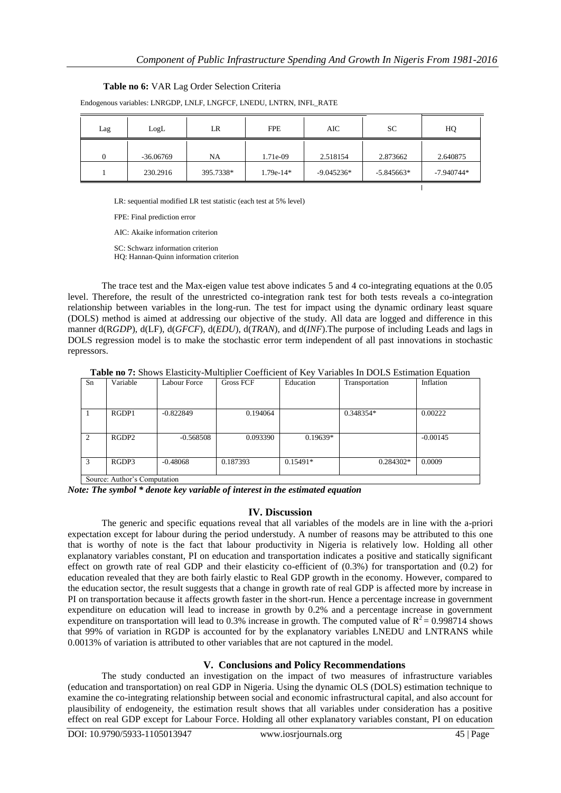#### **Table no 6:** VAR Lag Order Selection Criteria

| LogL<br>Lag |             | <b>FPE</b><br>LR |             | AIC          | SC           | HQ           |
|-------------|-------------|------------------|-------------|--------------|--------------|--------------|
|             | $-36.06769$ | <b>NA</b>        | 1.71e-09    | 2.518154     | 2.873662     | 2.640875     |
|             | 230.2916    | 395.7338*        | $1.79e-14*$ | $-9.045236*$ | $-5.845663*$ | $-7.940744*$ |
|             |             |                  |             |              |              |              |

Endogenous variables: LNRGDP, LNLF, LNGFCF, LNEDU, LNTRN, INFL\_RATE

LR: sequential modified LR test statistic (each test at 5% level)

FPE: Final prediction error

AIC: Akaike information criterion

SC: Schwarz information criterion

HQ: Hannan-Quinn information criterion

The trace test and the Max-eigen value test above indicates 5 and 4 co-integrating equations at the 0.05 level. Therefore, the result of the unrestricted co-integration rank test for both tests reveals a co-integration relationship between variables in the long-run. The test for impact using the dynamic ordinary least square (DOLS) method is aimed at addressing our objective of the study. All data are logged and difference in this manner d(R*GDP*), d(LF), d(*GFCF*), d(*EDU*), d(*TRAN*), and d(*INF*).The purpose of including Leads and lags in DOLS regression model is to make the stochastic error term independent of all past innovations in stochastic repressors.

**Table no 7:** Shows Elasticity-Multiplier Coefficient of Key Variables In DOLS Estimation Equation

| Sn                          | Variable          | Labour Force | <b>Gross FCF</b> | Education  | Transportation | Inflation  |  |  |
|-----------------------------|-------------------|--------------|------------------|------------|----------------|------------|--|--|
|                             |                   |              |                  |            |                |            |  |  |
|                             |                   |              |                  |            |                |            |  |  |
|                             | RGDP1             | $-0.822849$  | 0.194064         |            | 0.348354*      | 0.00222    |  |  |
|                             |                   |              |                  |            |                |            |  |  |
|                             |                   |              |                  |            |                |            |  |  |
| $\mathfrak{D}_{1}$          | RGDP <sub>2</sub> | $-0.568508$  | 0.093390         | $0.19639*$ |                | $-0.00145$ |  |  |
|                             |                   |              |                  |            |                |            |  |  |
|                             |                   |              |                  |            |                |            |  |  |
| 3                           | RGDP3             | $-0.48068$   | 0.187393         | $0.15491*$ | 0.284302*      | 0.0009     |  |  |
|                             |                   |              |                  |            |                |            |  |  |
| Course Author's Commitation |                   |              |                  |            |                |            |  |  |

Source: Author's Computation

*Note: The symbol \* denote key variable of interest in the estimated equation*

#### **IV. Discussion**

The generic and specific equations reveal that all variables of the models are in line with the a-priori expectation except for labour during the period understudy. A number of reasons may be attributed to this one that is worthy of note is the fact that labour productivity in Nigeria is relatively low. Holding all other explanatory variables constant, PI on education and transportation indicates a positive and statically significant effect on growth rate of real GDP and their elasticity co-efficient of (0.3%) for transportation and (0.2) for education revealed that they are both fairly elastic to Real GDP growth in the economy. However, compared to the education sector, the result suggests that a change in growth rate of real GDP is affected more by increase in PI on transportation because it affects growth faster in the short-run. Hence a percentage increase in government expenditure on education will lead to increase in growth by 0.2% and a percentage increase in government expenditure on transportation will lead to 0.3% increase in growth. The computed value of  $R^2 = 0.998714$  shows that 99% of variation in RGDP is accounted for by the explanatory variables LNEDU and LNTRANS while 0.0013% of variation is attributed to other variables that are not captured in the model.

## **V. Conclusions and Policy Recommendations**

The study conducted an investigation on the impact of two measures of infrastructure variables (education and transportation) on real GDP in Nigeria. Using the dynamic OLS (DOLS) estimation technique to examine the co-integrating relationship between social and economic infrastructural capital, and also account for plausibility of endogeneity, the estimation result shows that all variables under consideration has a positive effect on real GDP except for Labour Force. Holding all other explanatory variables constant, PI on education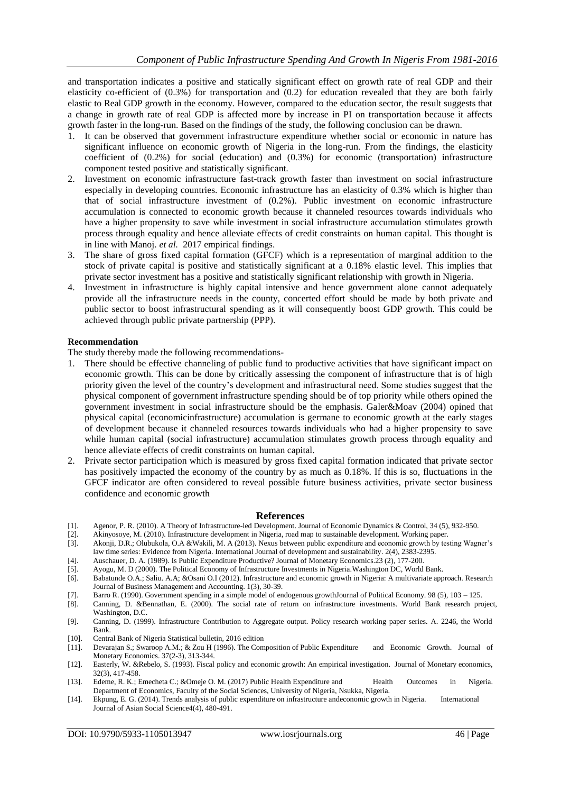and transportation indicates a positive and statically significant effect on growth rate of real GDP and their elasticity co-efficient of (0.3%) for transportation and (0.2) for education revealed that they are both fairly elastic to Real GDP growth in the economy. However, compared to the education sector, the result suggests that a change in growth rate of real GDP is affected more by increase in PI on transportation because it affects growth faster in the long-run. Based on the findings of the study, the following conclusion can be drawn.

- 1. It can be observed that government infrastructure expenditure whether social or economic in nature has significant influence on economic growth of Nigeria in the long-run. From the findings, the elasticity coefficient of (0.2%) for social (education) and (0.3%) for economic (transportation) infrastructure component tested positive and statistically significant.
- 2. Investment on economic infrastructure fast-track growth faster than investment on social infrastructure especially in developing countries. Economic infrastructure has an elasticity of 0.3% which is higher than that of social infrastructure investment of (0.2%). Public investment on economic infrastructure accumulation is connected to economic growth because it channeled resources towards individuals who have a higher propensity to save while investment in social infrastructure accumulation stimulates growth process through equality and hence alleviate effects of credit constraints on human capital. This thought is in line with Manoj. *et al.* 2017 empirical findings.
- 3. The share of gross fixed capital formation (GFCF) which is a representation of marginal addition to the stock of private capital is positive and statistically significant at a 0.18% elastic level. This implies that private sector investment has a positive and statistically significant relationship with growth in Nigeria.
- 4. Investment in infrastructure is highly capital intensive and hence government alone cannot adequately provide all the infrastructure needs in the county, concerted effort should be made by both private and public sector to boost infrastructural spending as it will consequently boost GDP growth. This could be achieved through public private partnership (PPP).

#### **Recommendation**

The study thereby made the following recommendations-

- 1. There should be effective channeling of public fund to productive activities that have significant impact on economic growth. This can be done by critically assessing the component of infrastructure that is of high priority given the level of the country's development and infrastructural need. Some studies suggest that the physical component of government infrastructure spending should be of top priority while others opined the government investment in social infrastructure should be the emphasis. Galer&Moav (2004) opined that physical capital (economicinfrastructure) accumulation is germane to economic growth at the early stages of development because it channeled resources towards individuals who had a higher propensity to save while human capital (social infrastructure) accumulation stimulates growth process through equality and hence alleviate effects of credit constraints on human capital.
- 2. Private sector participation which is measured by gross fixed capital formation indicated that private sector has positively impacted the economy of the country by as much as 0.18%. If this is so, fluctuations in the GFCF indicator are often considered to reveal possible future business activities, private sector business confidence and economic growth

#### **References**

- [1]. Agenor, P. R. (2010). A Theory of Infrastructure-led Development. Journal of Economic Dynamics & Control, 34 (5), 932-950.
- [2]. Akinyosoye, M. (2010). Infrastructure development in Nigeria, road map to sustainable development. Working paper.
- [3]. Akonji, D.R.; Olubukola, O.A &Wakili, M. A (2013). Nexus between public expenditure and economic growth by testing Wagner's law time series: Evidence from Nigeria. International Journal of development and sustainability. 2(4), 2383-2395.
- [4]. Auschauer, D. A. (1989). Is Public Expenditure Productive? Journal of Monetary Economics.23 (2), 177-200.
- [5]. Ayogu, M. D (2000). The Political Economy of Infrastructure Investments in Nigeria.Washington DC, World Bank.
- [6]. Babatunde O.A.; Saliu. A.A; &Osani O.I (2012). Infrastructure and economic growth in Nigeria: A multivariate approach. Research Journal of Business Management and Accounting. 1(3), 30-39.
- [7]. Barro R. (1990). Government spending in a simple model of endogenous growthJournal of Political Economy. 98 (5), 103 125.
- [8]. Canning, D. &Bennathan, E. (2000). The social rate of return on infrastructure investments. World Bank research project, Washington, D.C.
- [9]. Canning, D. (1999). Infrastructure Contribution to Aggregate output. Policy research working paper series. A. 2246, the World Bank.
- [10]. Central Bank of Nigeria Statistical bulletin, 2016 edition
- [11]. Devarajan S.; Swaroop A.M.; & Zou H (1996). The Composition of Public Expenditure and Economic Growth. Journal of Monetary Economics. 37(2-3), 313-344.
- [12]. Easterly, W. &Rebelo, S. (1993). Fiscal policy and economic growth: An empirical investigation. Journal of Monetary economics, 32(3), 417-458.
- [13]. Edeme, R. K.; Emecheta C.; &Omeje O. M. (2017) Public Health Expenditure and Health Outcomes in Nigeria. Department of Economics, Faculty of the Social Sciences, University of Nigeria, Nsukka, Nigeria.
- [14]. Ekpung, E. G. (2014). Trends analysis of public expenditure on infrastructure andeconomic growth in Nigeria. International Journal of Asian Social Science4(4), 480-491.